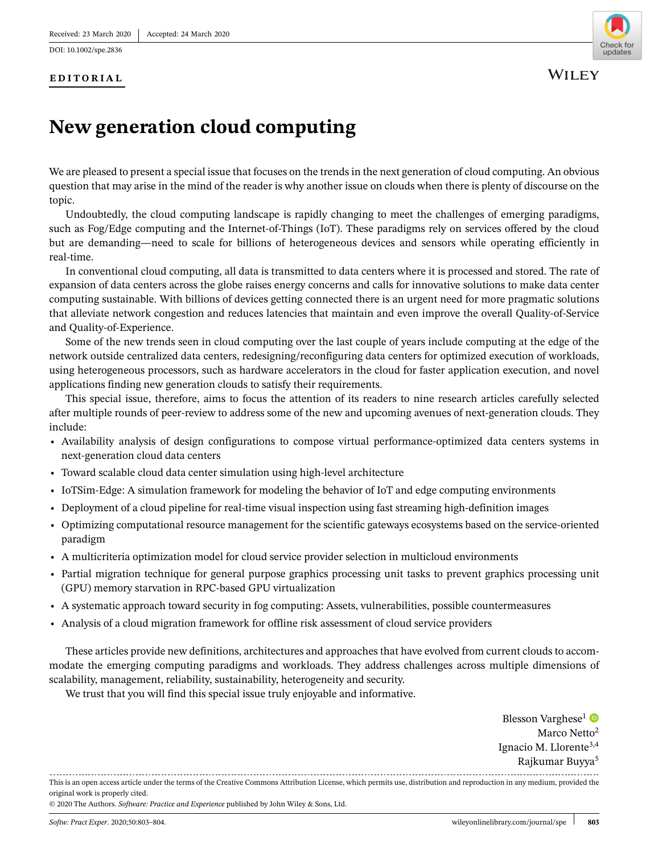DOI: 10.1002/spe.2836

## **EDITORIAL**



## **New generation cloud computing**

We are pleased to present a special issue that focuses on the trends in the next generation of cloud computing. An obvious question that may arise in the mind of the reader is why another issue on clouds when there is plenty of discourse on the topic.

Undoubtedly, the cloud computing landscape is rapidly changing to meet the challenges of emerging paradigms, such as Fog/Edge computing and the Internet-of-Things (IoT). These paradigms rely on services offered by the cloud but are demanding—need to scale for billions of heterogeneous devices and sensors while operating efficiently in real-time.

In conventional cloud computing, all data is transmitted to data centers where it is processed and stored. The rate of expansion of data centers across the globe raises energy concerns and calls for innovative solutions to make data center computing sustainable. With billions of devices getting connected there is an urgent need for more pragmatic solutions that alleviate network congestion and reduces latencies that maintain and even improve the overall Quality-of-Service and Quality-of-Experience.

Some of the new trends seen in cloud computing over the last couple of years include computing at the edge of the network outside centralized data centers, redesigning/reconfiguring data centers for optimized execution of workloads, using heterogeneous processors, such as hardware accelerators in the cloud for faster application execution, and novel applications finding new generation clouds to satisfy their requirements.

This special issue, therefore, aims to focus the attention of its readers to nine research articles carefully selected after multiple rounds of peer-review to address some of the new and upcoming avenues of next-generation clouds. They include:

- **•** Availability analysis of design configurations to compose virtual performance-optimized data centers systems in next-generation cloud data centers
- **•** Toward scalable cloud data center simulation using high-level architecture
- **•** IoTSim-Edge: A simulation framework for modeling the behavior of IoT and edge computing environments
- **•** Deployment of a cloud pipeline for real-time visual inspection using fast streaming high-definition images
- **•** Optimizing computational resource management for the scientific gateways ecosystems based on the service-oriented paradigm
- **•** A multicriteria optimization model for cloud service provider selection in multicloud environments
- **•** Partial migration technique for general purpose graphics processing unit tasks to prevent graphics processing unit (GPU) memory starvation in RPC-based GPU virtualization
- **•** A systematic approach toward security in fog computing: Assets, vulnerabilities, possible countermeasures
- **•** Analysis of a cloud migration framework for offline risk assessment of cloud service providers

These articles provide new definitions, architectures and approaches that have evolved from current clouds to accommodate the emerging computing paradigms and workloads. They address challenges across multiple dimensions of scalability, management, reliability, sustainability, heterogeneity and security.

We trust that you will find this special issue truly enjoyable and informative.

Blesson Varghese<sup>1</sup> Marco Netto<sup>2</sup> Ignacio M. Llorente3,4 Rajkumar Buyya5

This is an open access article under the terms of the [Creative Commons Attribution](http://creativecommons.org/licenses/by/4.0/) License, which permits use, distribution and reproduction in any medium, provided the original work is properly cited.

<sup>© 2020</sup> The Authors. *Software: Practice and Experience* published by John Wiley & Sons, Ltd.